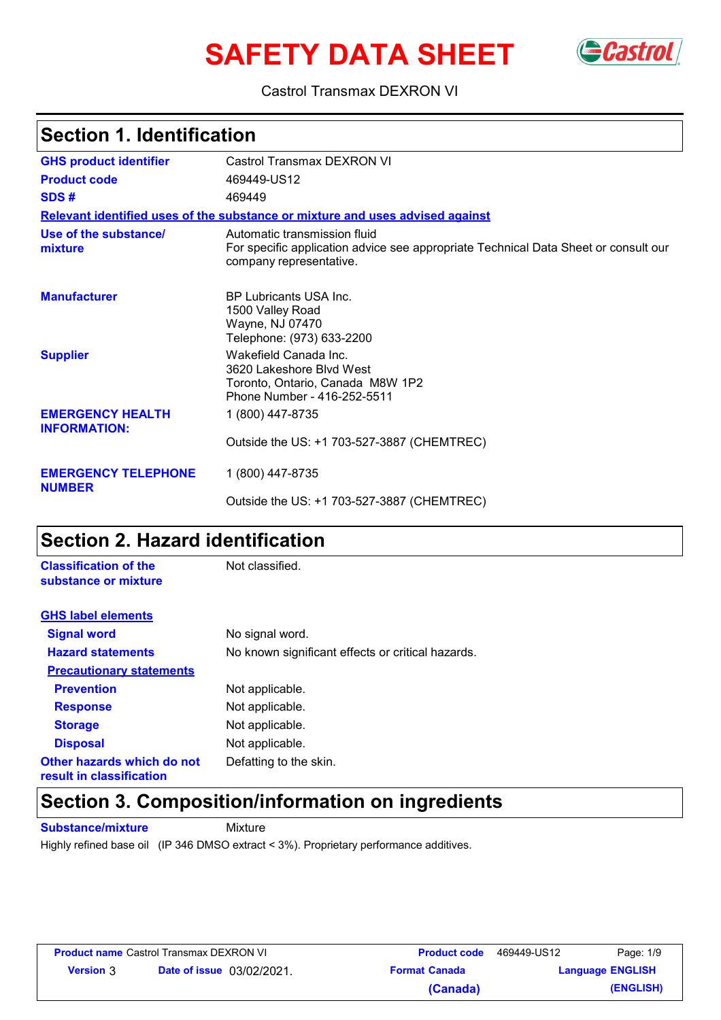# **SAFETY DATA SHEET** GCastrol



#### Castrol Transmax DEXRON VI

### **Section 1. Identification**

| <b>GHS product identifier</b>                  | Castrol Transmax DEXRON VI                                                                                                                     |
|------------------------------------------------|------------------------------------------------------------------------------------------------------------------------------------------------|
| <b>Product code</b>                            | 469449-US12                                                                                                                                    |
| SDS#                                           | 469449                                                                                                                                         |
|                                                | Relevant identified uses of the substance or mixture and uses advised against                                                                  |
| Use of the substance/<br>mixture               | Automatic transmission fluid<br>For specific application advice see appropriate Technical Data Sheet or consult our<br>company representative. |
| <b>Manufacturer</b>                            | <b>BP Lubricants USA Inc.</b><br>1500 Valley Road<br>Wayne, NJ 07470<br>Telephone: (973) 633-2200                                              |
| <b>Supplier</b>                                | Wakefield Canada Inc.<br>3620 Lakeshore Blvd West<br>Toronto, Ontario, Canada M8W 1P2<br>Phone Number - 416-252-5511                           |
| <b>EMERGENCY HEALTH</b><br><b>INFORMATION:</b> | 1 (800) 447-8735                                                                                                                               |
|                                                | Outside the US: +1 703-527-3887 (CHEMTREC)                                                                                                     |
| <b>EMERGENCY TELEPHONE</b><br><b>NUMBER</b>    | 1 (800) 447-8735                                                                                                                               |
|                                                | Outside the US: +1 703-527-3887 (CHEMTREC)                                                                                                     |

### **Section 2. Hazard identification**

| <b>Classification of the</b><br>substance or mixture   | Not classified.                                   |
|--------------------------------------------------------|---------------------------------------------------|
| <b>GHS label elements</b>                              |                                                   |
| <b>Signal word</b>                                     | No signal word.                                   |
| <b>Hazard statements</b>                               | No known significant effects or critical hazards. |
| <b>Precautionary statements</b>                        |                                                   |
| <b>Prevention</b>                                      | Not applicable.                                   |
| <b>Response</b>                                        | Not applicable.                                   |
| <b>Storage</b>                                         | Not applicable.                                   |
| <b>Disposal</b>                                        | Not applicable.                                   |
| Other hazards which do not<br>result in classification | Defatting to the skin.                            |

### **Section 3. Composition/information on ingredients**

**Substance/mixture** Mixture

Highly refined base oil (IP 346 DMSO extract < 3%). Proprietary performance additives.

| <b>Product name Castrol Transmax DEXRON VI</b> |                                  | <b>Product code</b> | 469449-US12          | Page: 1/9 |                         |
|------------------------------------------------|----------------------------------|---------------------|----------------------|-----------|-------------------------|
| <b>Version 3</b>                               | <b>Date of issue</b> 03/02/2021. |                     | <b>Format Canada</b> |           | <b>Language ENGLISH</b> |
|                                                |                                  |                     | (Canada)             |           | (ENGLISH)               |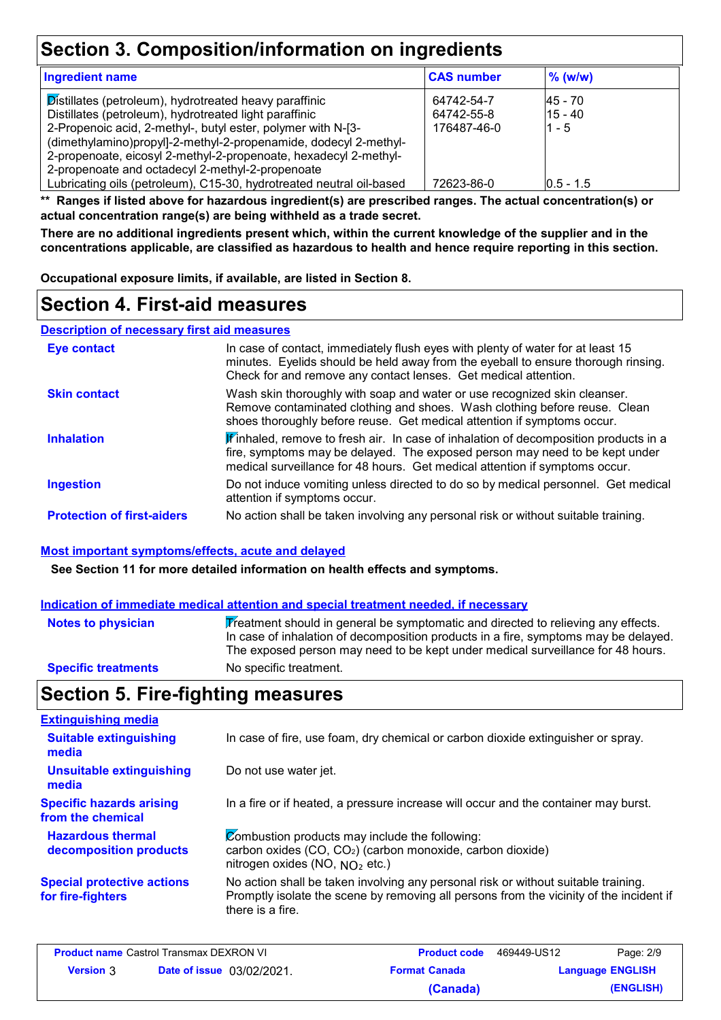### **Section 3. Composition/information on ingredients**

| <b>Ingredient name</b>                                                                                                                                                                                                                                                                                                   | <b>CAS number</b>                       | $%$ (w/w)                        |  |
|--------------------------------------------------------------------------------------------------------------------------------------------------------------------------------------------------------------------------------------------------------------------------------------------------------------------------|-----------------------------------------|----------------------------------|--|
| Distillates (petroleum), hydrotreated heavy paraffinic<br>Distillates (petroleum), hydrotreated light paraffinic<br>2-Propenoic acid, 2-methyl-, butyl ester, polymer with N-[3-<br>(dimethylamino)propyl]-2-methyl-2-propenamide, dodecyl 2-methyl-<br>2-propenoate, eicosyl 2-methyl-2-propenoate, hexadecyl 2-methyl- | 64742-54-7<br>64742-55-8<br>176487-46-0 | l45 - 70<br>$15 - 40$<br>$1 - 5$ |  |
| 2-propenoate and octadecyl 2-methyl-2-propenoate<br>Lubricating oils (petroleum), C15-30, hydrotreated neutral oil-based                                                                                                                                                                                                 | 72623-86-0                              | $0.5 - 1.5$                      |  |

**\*\* Ranges if listed above for hazardous ingredient(s) are prescribed ranges. The actual concentration(s) or actual concentration range(s) are being withheld as a trade secret.**

**There are no additional ingredients present which, within the current knowledge of the supplier and in the concentrations applicable, are classified as hazardous to health and hence require reporting in this section.**

**Occupational exposure limits, if available, are listed in Section 8.**

### **Section 4. First-aid measures**

**Description of necessary first aid measures**

| <b>Eye contact</b>                | In case of contact, immediately flush eyes with plenty of water for at least 15<br>minutes. Eyelids should be held away from the eyeball to ensure thorough rinsing.<br>Check for and remove any contact lenses. Get medical attention.           |  |
|-----------------------------------|---------------------------------------------------------------------------------------------------------------------------------------------------------------------------------------------------------------------------------------------------|--|
| <b>Skin contact</b>               | Wash skin thoroughly with soap and water or use recognized skin cleanser.<br>Remove contaminated clothing and shoes. Wash clothing before reuse. Clean<br>shoes thoroughly before reuse. Get medical attention if symptoms occur.                 |  |
| <b>Inhalation</b>                 | Finhaled, remove to fresh air. In case of inhalation of decomposition products in a<br>fire, symptoms may be delayed. The exposed person may need to be kept under<br>medical surveillance for 48 hours. Get medical attention if symptoms occur. |  |
| <b>Ingestion</b>                  | Do not induce vomiting unless directed to do so by medical personnel. Get medical<br>attention if symptoms occur.                                                                                                                                 |  |
| <b>Protection of first-aiders</b> | No action shall be taken involving any personal risk or without suitable training.                                                                                                                                                                |  |

#### **Most important symptoms/effects, acute and delayed**

**See Section 11 for more detailed information on health effects and symptoms.**

#### **Indication of immediate medical attention and special treatment needed, if necessary**

| Notes to physician         | Treatment should in general be symptomatic and directed to relieving any effects.<br>In case of inhalation of decomposition products in a fire, symptoms may be delayed.<br>The exposed person may need to be kept under medical surveillance for 48 hours. |
|----------------------------|-------------------------------------------------------------------------------------------------------------------------------------------------------------------------------------------------------------------------------------------------------------|
| <b>Specific treatments</b> | No specific treatment.                                                                                                                                                                                                                                      |

### **Section 5. Fire-fighting measures**

| <b>Extinguishing media</b>                             |                                                                                                                                                                                                   |
|--------------------------------------------------------|---------------------------------------------------------------------------------------------------------------------------------------------------------------------------------------------------|
| <b>Suitable extinguishing</b><br>media                 | In case of fire, use foam, dry chemical or carbon dioxide extinguisher or spray.                                                                                                                  |
| <b>Unsuitable extinguishing</b><br>media               | Do not use water jet.                                                                                                                                                                             |
| <b>Specific hazards arising</b><br>from the chemical   | In a fire or if heated, a pressure increase will occur and the container may burst.                                                                                                               |
| <b>Hazardous thermal</b><br>decomposition products     | Combustion products may include the following:<br>carbon oxides (CO, CO <sub>2</sub> ) (carbon monoxide, carbon dioxide)<br>nitrogen oxides (NO, $NO2$ etc.)                                      |
| <b>Special protective actions</b><br>for fire-fighters | No action shall be taken involving any personal risk or without suitable training.<br>Promptly isolate the scene by removing all persons from the vicinity of the incident if<br>there is a fire. |

| <b>Product name Castrol Transmax DEXRON VI</b> |                                  | <b>Product code</b>  | 469449-US12 | Page: 2/9               |
|------------------------------------------------|----------------------------------|----------------------|-------------|-------------------------|
| <b>Version</b> 3                               | <b>Date of issue</b> 03/02/2021. | <b>Format Canada</b> |             | <b>Language ENGLISH</b> |
|                                                |                                  | (Canada)             |             | (ENGLISH)               |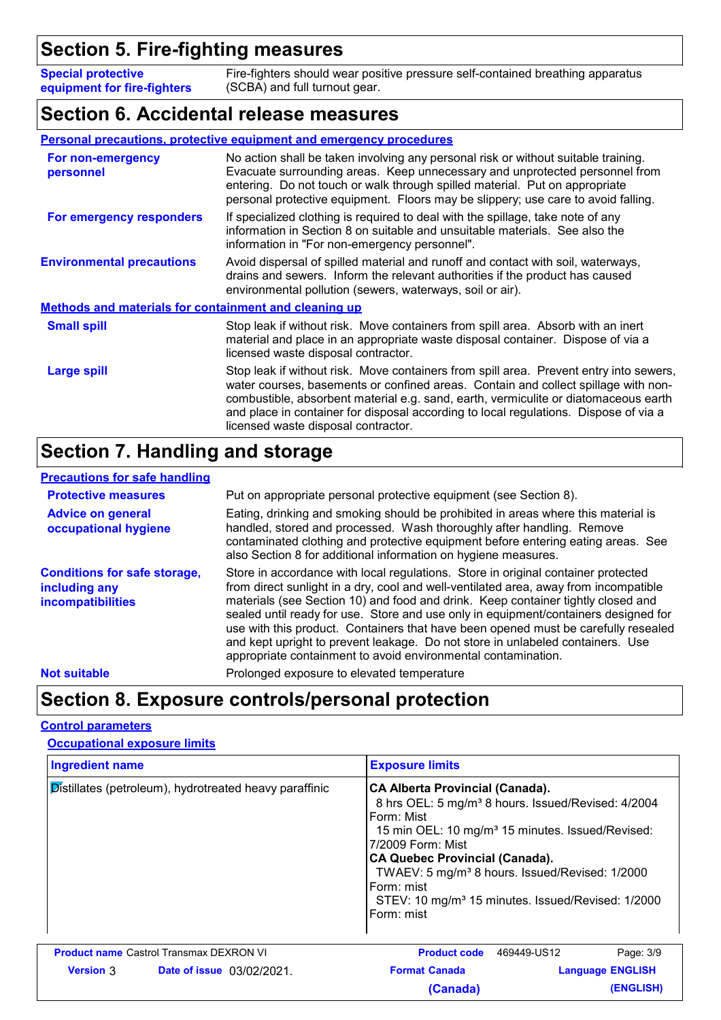### **Section 5. Fire-fighting measures**

**Special protective equipment for fire-fighters** Fire-fighters should wear positive pressure self-contained breathing apparatus (SCBA) and full turnout gear.

#### **Section 6. Accidental release measures**

#### **Personal precautions, protective equipment and emergency procedures**

| For non-emergency<br>personnel                               | No action shall be taken involving any personal risk or without suitable training.<br>Evacuate surrounding areas. Keep unnecessary and unprotected personnel from<br>entering. Do not touch or walk through spilled material. Put on appropriate<br>personal protective equipment. Floors may be slippery; use care to avoid falling.                                                              |  |
|--------------------------------------------------------------|----------------------------------------------------------------------------------------------------------------------------------------------------------------------------------------------------------------------------------------------------------------------------------------------------------------------------------------------------------------------------------------------------|--|
| For emergency responders                                     | If specialized clothing is required to deal with the spillage, take note of any<br>information in Section 8 on suitable and unsuitable materials. See also the<br>information in "For non-emergency personnel".                                                                                                                                                                                    |  |
| <b>Environmental precautions</b>                             | Avoid dispersal of spilled material and runoff and contact with soil, waterways,<br>drains and sewers. Inform the relevant authorities if the product has caused<br>environmental pollution (sewers, waterways, soil or air).                                                                                                                                                                      |  |
| <b>Methods and materials for containment and cleaning up</b> |                                                                                                                                                                                                                                                                                                                                                                                                    |  |
| <b>Small spill</b>                                           | Stop leak if without risk. Move containers from spill area. Absorb with an inert<br>material and place in an appropriate waste disposal container. Dispose of via a<br>licensed waste disposal contractor.                                                                                                                                                                                         |  |
| Large spill                                                  | Stop leak if without risk. Move containers from spill area. Prevent entry into sewers,<br>water courses, basements or confined areas. Contain and collect spillage with non-<br>combustible, absorbent material e.g. sand, earth, vermiculite or diatomaceous earth<br>and place in container for disposal according to local regulations. Dispose of via a<br>licensed waste disposal contractor. |  |

### **Section 7. Handling and storage**

#### **Precautions for safe handling**

| <b>Protective measures</b>                                                | Put on appropriate personal protective equipment (see Section 8).                                                                                                                                                                                                                                                                                                                                                                                                                                                                                                                             |  |
|---------------------------------------------------------------------------|-----------------------------------------------------------------------------------------------------------------------------------------------------------------------------------------------------------------------------------------------------------------------------------------------------------------------------------------------------------------------------------------------------------------------------------------------------------------------------------------------------------------------------------------------------------------------------------------------|--|
| <b>Advice on general</b><br>occupational hygiene                          | Eating, drinking and smoking should be prohibited in areas where this material is<br>handled, stored and processed. Wash thoroughly after handling. Remove<br>contaminated clothing and protective equipment before entering eating areas. See<br>also Section 8 for additional information on hygiene measures.                                                                                                                                                                                                                                                                              |  |
| <b>Conditions for safe storage,</b><br>including any<br>incompatibilities | Store in accordance with local regulations. Store in original container protected<br>from direct sunlight in a dry, cool and well-ventilated area, away from incompatible<br>materials (see Section 10) and food and drink. Keep container tightly closed and<br>sealed until ready for use. Store and use only in equipment/containers designed for<br>use with this product. Containers that have been opened must be carefully resealed<br>and kept upright to prevent leakage. Do not store in unlabeled containers. Use<br>appropriate containment to avoid environmental contamination. |  |
| <b>Not suitable</b>                                                       | Prolonged exposure to elevated temperature                                                                                                                                                                                                                                                                                                                                                                                                                                                                                                                                                    |  |

### **Section 8. Exposure controls/personal protection**

#### **Control parameters**

#### **Occupational exposure limits**

| <b>Ingredient name</b> |                                                        | <b>Exposure limits</b>                                                                                                                                                                                       |                                                                                                                                                                                                 |
|------------------------|--------------------------------------------------------|--------------------------------------------------------------------------------------------------------------------------------------------------------------------------------------------------------------|-------------------------------------------------------------------------------------------------------------------------------------------------------------------------------------------------|
|                        | Distillates (petroleum), hydrotreated heavy paraffinic | <b>CA Alberta Provincial (Canada).</b><br>Form: Mist<br>7/2009 Form: Mist<br><b>CA Quebec Provincial (Canada).</b><br>TWAEV: 5 mg/m <sup>3</sup> 8 hours. Issued/Revised: 1/2000<br>Form: mist<br>Form: mist | 8 hrs OEL: 5 mg/m <sup>3</sup> 8 hours. Issued/Revised: 4/2004<br>15 min OEL: 10 mg/m <sup>3</sup> 15 minutes. Issued/Revised:<br>STEV: 10 mg/m <sup>3</sup> 15 minutes. Issued/Revised: 1/2000 |
|                        | <b>Product name Castrol Transmax DEXRON VI</b>         | <b>Product code</b>                                                                                                                                                                                          | Page: 3/9<br>469449-US12                                                                                                                                                                        |
| <b>Version</b> 3       | <b>Date of issue</b> 03/02/2021.                       | <b>Format Canada</b>                                                                                                                                                                                         | <b>Language ENGLISH</b>                                                                                                                                                                         |
|                        |                                                        | (Canada)                                                                                                                                                                                                     | (ENGLISH)                                                                                                                                                                                       |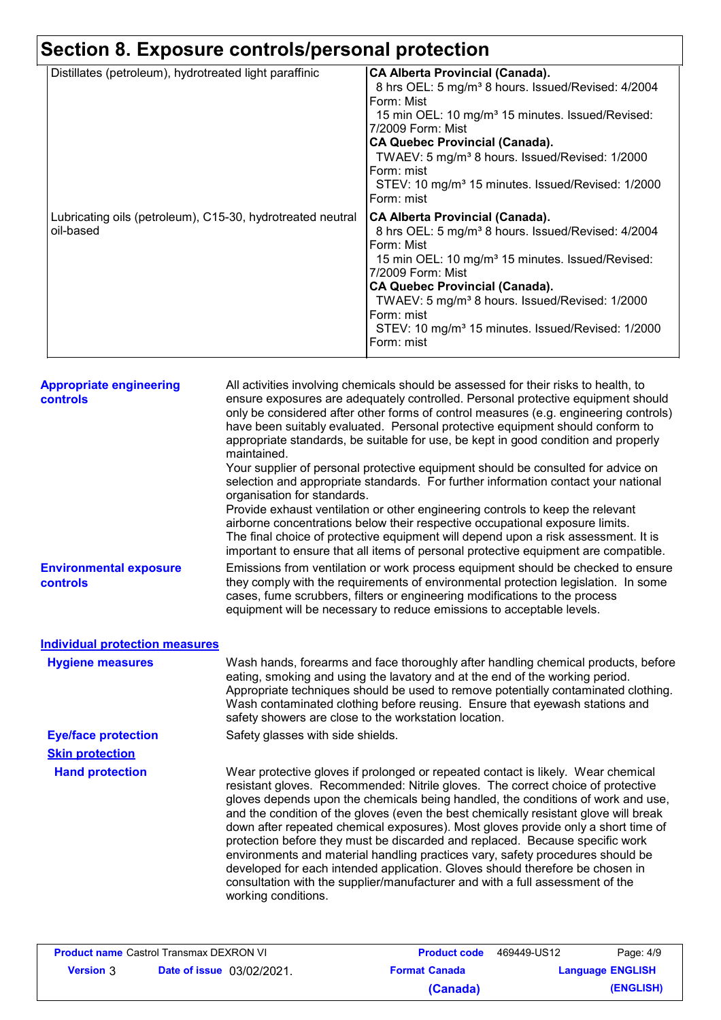# **Section 8. Exposure controls/personal protection**

| <b>CA Alberta Provincial (Canada).</b>                         |
|----------------------------------------------------------------|
| 8 hrs OEL: 5 mg/m <sup>3</sup> 8 hours. Issued/Revised: 4/2004 |
| Form: Mist                                                     |
| 15 min OEL: 10 mg/m <sup>3</sup> 15 minutes. Issued/Revised:   |
| 7/2009 Form: Mist                                              |
| <b>CA Quebec Provincial (Canada).</b>                          |
| TWAEV: 5 mg/m <sup>3</sup> 8 hours. Issued/Revised: 1/2000     |
| Form: mist                                                     |
| STEV: 10 mg/m <sup>3</sup> 15 minutes. Issued/Revised: 1/2000  |
| Form: mist                                                     |
| <b>CA Alberta Provincial (Canada).</b>                         |
| 8 hrs OEL: 5 mg/m <sup>3</sup> 8 hours. Issued/Revised: 4/2004 |
| Form: Mist                                                     |
| 15 min OEL: 10 mg/m <sup>3</sup> 15 minutes. Issued/Revised:   |
| 7/2009 Form: Mist                                              |
| <b>CA Quebec Provincial (Canada).</b>                          |
| TWAEV: 5 mg/m <sup>3</sup> 8 hours. Issued/Revised: 1/2000     |
| Form: mist                                                     |
| STEV: 10 mg/m <sup>3</sup> 15 minutes. Issued/Revised: 1/2000  |
| Form: mist                                                     |
|                                                                |

| <b>Appropriate engineering</b><br>controls       | All activities involving chemicals should be assessed for their risks to health, to<br>ensure exposures are adequately controlled. Personal protective equipment should<br>only be considered after other forms of control measures (e.g. engineering controls)<br>have been suitably evaluated. Personal protective equipment should conform to<br>appropriate standards, be suitable for use, be kept in good condition and properly<br>maintained.<br>Your supplier of personal protective equipment should be consulted for advice on<br>selection and appropriate standards. For further information contact your national<br>organisation for standards.<br>Provide exhaust ventilation or other engineering controls to keep the relevant<br>airborne concentrations below their respective occupational exposure limits.<br>The final choice of protective equipment will depend upon a risk assessment. It is<br>important to ensure that all items of personal protective equipment are compatible. |
|--------------------------------------------------|---------------------------------------------------------------------------------------------------------------------------------------------------------------------------------------------------------------------------------------------------------------------------------------------------------------------------------------------------------------------------------------------------------------------------------------------------------------------------------------------------------------------------------------------------------------------------------------------------------------------------------------------------------------------------------------------------------------------------------------------------------------------------------------------------------------------------------------------------------------------------------------------------------------------------------------------------------------------------------------------------------------|
| <b>Environmental exposure</b><br><b>controls</b> | Emissions from ventilation or work process equipment should be checked to ensure<br>they comply with the requirements of environmental protection legislation. In some<br>cases, fume scrubbers, filters or engineering modifications to the process<br>equipment will be necessary to reduce emissions to acceptable levels.                                                                                                                                                                                                                                                                                                                                                                                                                                                                                                                                                                                                                                                                                 |
| <b>Individual protection measures</b>            |                                                                                                                                                                                                                                                                                                                                                                                                                                                                                                                                                                                                                                                                                                                                                                                                                                                                                                                                                                                                               |
| <b>Hygiene measures</b>                          | Wash hands, forearms and face thoroughly after handling chemical products, before<br>eating, smoking and using the lavatory and at the end of the working period.<br>Appropriate techniques should be used to remove potentially contaminated clothing.<br>Wash contaminated clothing before reusing. Ensure that eyewash stations and<br>safety showers are close to the workstation location.                                                                                                                                                                                                                                                                                                                                                                                                                                                                                                                                                                                                               |
| <b>Eye/face protection</b>                       | Safety glasses with side shields.                                                                                                                                                                                                                                                                                                                                                                                                                                                                                                                                                                                                                                                                                                                                                                                                                                                                                                                                                                             |
| <b>Skin protection</b>                           |                                                                                                                                                                                                                                                                                                                                                                                                                                                                                                                                                                                                                                                                                                                                                                                                                                                                                                                                                                                                               |
| <b>Hand protection</b>                           | Wear protective gloves if prolonged or repeated contact is likely. Wear chemical<br>resistant gloves. Recommended: Nitrile gloves. The correct choice of protective<br>gloves depends upon the chemicals being handled, the conditions of work and use,<br>and the condition of the gloves (even the best chemically resistant glove will break<br>down after repeated chemical exposures). Most gloves provide only a short time of<br>protection before they must be discarded and replaced. Because specific work<br>environments and material handling practices vary, safety procedures should be<br>developed for each intended application. Gloves should therefore be chosen in<br>consultation with the supplier/manufacturer and with a full assessment of the<br>working conditions.                                                                                                                                                                                                               |

| <b>Product name Castrol Transmax DEXRON VI</b> |                                  | <b>Product code</b>  | 469449-US12             | Page: 4/9 |
|------------------------------------------------|----------------------------------|----------------------|-------------------------|-----------|
| <b>Version</b> 3                               | <b>Date of issue</b> 03/02/2021. | <b>Format Canada</b> | <b>Language ENGLISH</b> |           |
|                                                |                                  | (Canada)             |                         | (ENGLISH) |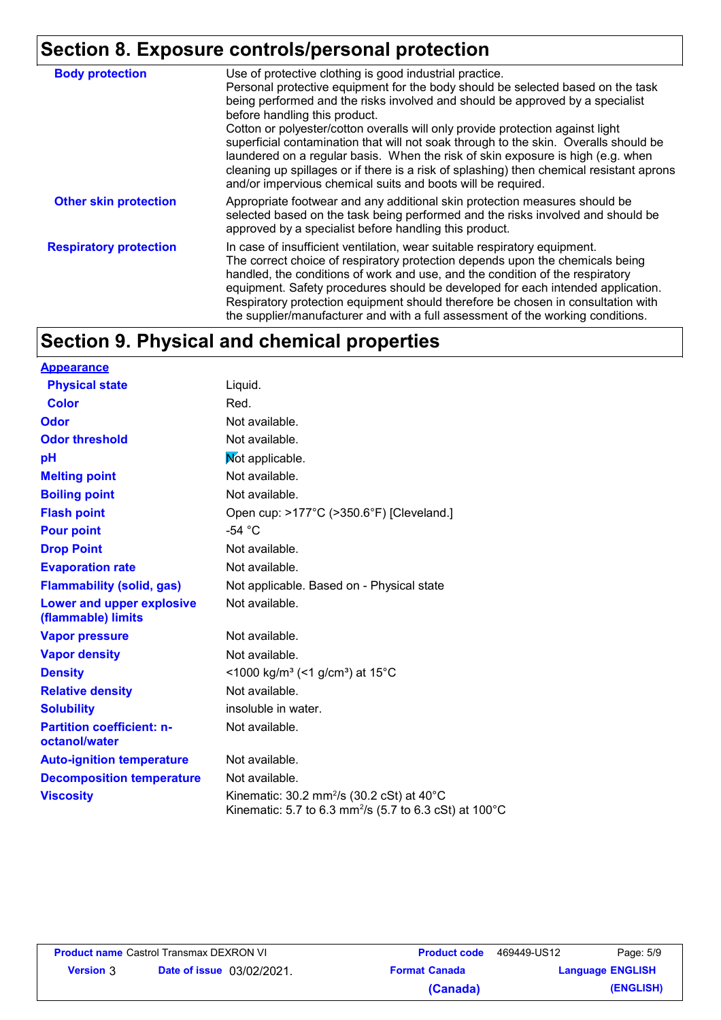## **Section 8. Exposure controls/personal protection**

| <b>Body protection</b>        | Use of protective clothing is good industrial practice.<br>Personal protective equipment for the body should be selected based on the task<br>being performed and the risks involved and should be approved by a specialist<br>before handling this product.<br>Cotton or polyester/cotton overalls will only provide protection against light<br>superficial contamination that will not soak through to the skin. Overalls should be<br>laundered on a regular basis. When the risk of skin exposure is high (e.g. when<br>cleaning up spillages or if there is a risk of splashing) then chemical resistant aprons<br>and/or impervious chemical suits and boots will be required. |
|-------------------------------|---------------------------------------------------------------------------------------------------------------------------------------------------------------------------------------------------------------------------------------------------------------------------------------------------------------------------------------------------------------------------------------------------------------------------------------------------------------------------------------------------------------------------------------------------------------------------------------------------------------------------------------------------------------------------------------|
| <b>Other skin protection</b>  | Appropriate footwear and any additional skin protection measures should be<br>selected based on the task being performed and the risks involved and should be<br>approved by a specialist before handling this product.                                                                                                                                                                                                                                                                                                                                                                                                                                                               |
| <b>Respiratory protection</b> | In case of insufficient ventilation, wear suitable respiratory equipment.<br>The correct choice of respiratory protection depends upon the chemicals being<br>handled, the conditions of work and use, and the condition of the respiratory<br>equipment. Safety procedures should be developed for each intended application.<br>Respiratory protection equipment should therefore be chosen in consultation with<br>the supplier/manufacturer and with a full assessment of the working conditions.                                                                                                                                                                                 |

### **Section 9. Physical and chemical properties**

| <u>Appearance</u>                                 |                                                                                                                                             |
|---------------------------------------------------|---------------------------------------------------------------------------------------------------------------------------------------------|
| <b>Physical state</b>                             | Liquid.                                                                                                                                     |
| <b>Color</b>                                      | Red.                                                                                                                                        |
| <b>Odor</b>                                       | Not available.                                                                                                                              |
| <b>Odor threshold</b>                             | Not available.                                                                                                                              |
| рH                                                | Not applicable.                                                                                                                             |
| <b>Melting point</b>                              | Not available.                                                                                                                              |
| <b>Boiling point</b>                              | Not available.                                                                                                                              |
| <b>Flash point</b>                                | Open cup: >177°C (>350.6°F) [Cleveland.]                                                                                                    |
| <b>Pour point</b>                                 | $-54 °C$                                                                                                                                    |
| <b>Drop Point</b>                                 | Not available.                                                                                                                              |
| <b>Evaporation rate</b>                           | Not available.                                                                                                                              |
| <b>Flammability (solid, gas)</b>                  | Not applicable. Based on - Physical state                                                                                                   |
| Lower and upper explosive<br>(flammable) limits   | Not available.                                                                                                                              |
| <b>Vapor pressure</b>                             | Not available.                                                                                                                              |
| <b>Vapor density</b>                              | Not available.                                                                                                                              |
| <b>Density</b>                                    | <1000 kg/m <sup>3</sup> (<1 g/cm <sup>3</sup> ) at 15 <sup>°</sup> C                                                                        |
| <b>Relative density</b>                           | Not available.                                                                                                                              |
| <b>Solubility</b>                                 | insoluble in water.                                                                                                                         |
| <b>Partition coefficient: n-</b><br>octanol/water | Not available.                                                                                                                              |
| <b>Auto-ignition temperature</b>                  | Not available.                                                                                                                              |
| <b>Decomposition temperature</b>                  | Not available.                                                                                                                              |
| <b>Viscosity</b>                                  | Kinematic: $30.2 \text{ mm}^2/\text{s}$ (30.2 cSt) at 40°C<br>Kinematic: 5.7 to 6.3 mm <sup>2</sup> /s (5.7 to 6.3 cSt) at 100 $^{\circ}$ C |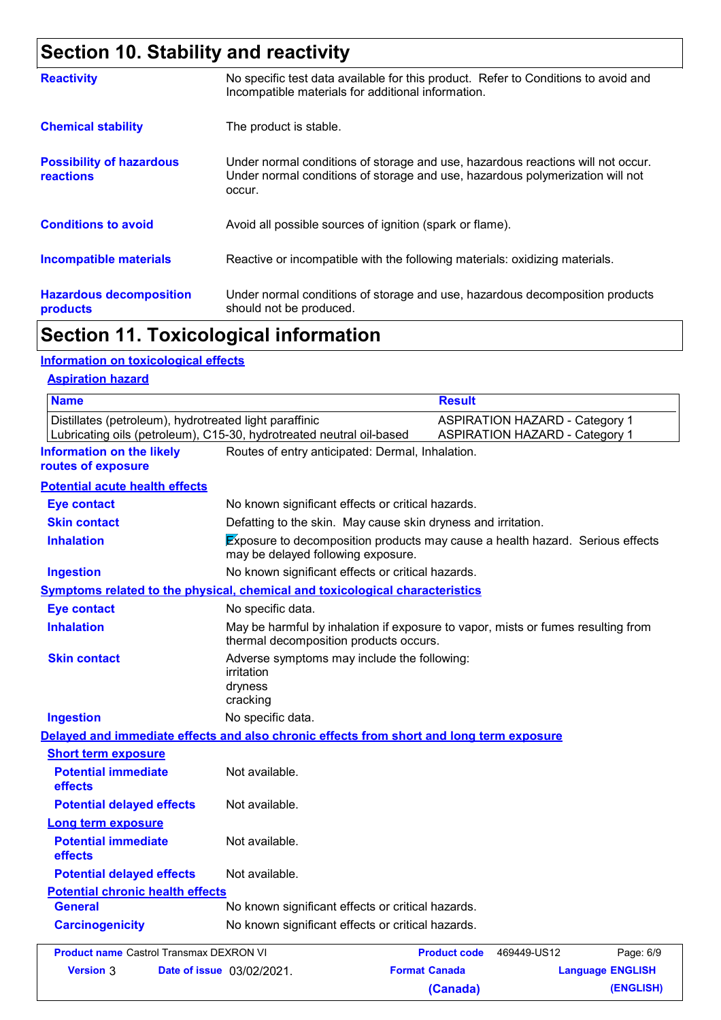## **Section 10. Stability and reactivity**

| <b>Reactivity</b>                                   | No specific test data available for this product. Refer to Conditions to avoid and<br>Incompatible materials for additional information.                                   |
|-----------------------------------------------------|----------------------------------------------------------------------------------------------------------------------------------------------------------------------------|
| <b>Chemical stability</b>                           | The product is stable.                                                                                                                                                     |
| <b>Possibility of hazardous</b><br><b>reactions</b> | Under normal conditions of storage and use, hazardous reactions will not occur.<br>Under normal conditions of storage and use, hazardous polymerization will not<br>occur. |
| <b>Conditions to avoid</b>                          | Avoid all possible sources of ignition (spark or flame).                                                                                                                   |
| <b>Incompatible materials</b>                       | Reactive or incompatible with the following materials: oxidizing materials.                                                                                                |
| <b>Hazardous decomposition</b><br>products          | Under normal conditions of storage and use, hazardous decomposition products<br>should not be produced.                                                                    |

### **Section 11. Toxicological information**

**Version Date of issue** 3 03/02/2021.

#### **Information on toxicological effects**

#### **Aspiration hazard**

| <b>Name</b>                                            |                                                                                          | <b>Result</b>                                                                    |  |
|--------------------------------------------------------|------------------------------------------------------------------------------------------|----------------------------------------------------------------------------------|--|
| Distillates (petroleum), hydrotreated light paraffinic | Lubricating oils (petroleum), C15-30, hydrotreated neutral oil-based                     | <b>ASPIRATION HAZARD - Category 1</b><br><b>ASPIRATION HAZARD - Category 1</b>   |  |
| <b>Information on the likely</b><br>routes of exposure | Routes of entry anticipated: Dermal, Inhalation.                                         |                                                                                  |  |
| <b>Potential acute health effects</b>                  |                                                                                          |                                                                                  |  |
| <b>Eye contact</b>                                     | No known significant effects or critical hazards.                                        |                                                                                  |  |
| <b>Skin contact</b>                                    | Defatting to the skin. May cause skin dryness and irritation.                            |                                                                                  |  |
| <b>Inhalation</b>                                      | may be delayed following exposure.                                                       | Exposure to decomposition products may cause a health hazard. Serious effects    |  |
| <b>Ingestion</b>                                       | No known significant effects or critical hazards.                                        |                                                                                  |  |
|                                                        | Symptoms related to the physical, chemical and toxicological characteristics             |                                                                                  |  |
| <b>Eye contact</b>                                     | No specific data.                                                                        |                                                                                  |  |
| <b>Inhalation</b>                                      | thermal decomposition products occurs.                                                   | May be harmful by inhalation if exposure to vapor, mists or fumes resulting from |  |
| <b>Skin contact</b>                                    | Adverse symptoms may include the following:<br>irritation<br>dryness<br>cracking         |                                                                                  |  |
| <b>Ingestion</b>                                       | No specific data.                                                                        |                                                                                  |  |
|                                                        | Delayed and immediate effects and also chronic effects from short and long term exposure |                                                                                  |  |
| <b>Short term exposure</b>                             |                                                                                          |                                                                                  |  |
| <b>Potential immediate</b><br>effects                  | Not available.                                                                           |                                                                                  |  |
| <b>Potential delayed effects</b>                       | Not available.                                                                           |                                                                                  |  |
| <b>Long term exposure</b>                              |                                                                                          |                                                                                  |  |
| <b>Potential immediate</b><br>effects                  | Not available.                                                                           |                                                                                  |  |
| <b>Potential delayed effects</b>                       | Not available.                                                                           |                                                                                  |  |
| <b>Potential chronic health effects</b>                |                                                                                          |                                                                                  |  |
| <b>General</b>                                         | No known significant effects or critical hazards.                                        |                                                                                  |  |
| <b>Carcinogenicity</b>                                 | No known significant effects or critical hazards.                                        |                                                                                  |  |
| <b>Product name Castrol Transmax DEXRON VI</b>         |                                                                                          | 469449-US12<br><b>Product code</b><br>Page: 6/9                                  |  |

**Format Canada Language ENGLISH**

**(Canada) (ENGLISH)**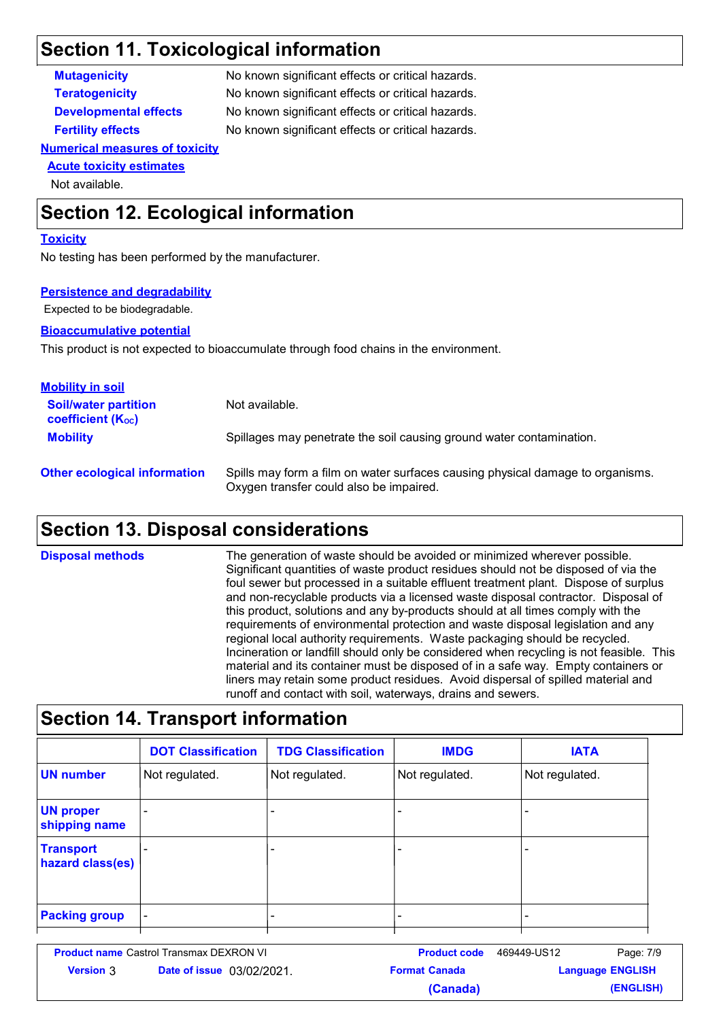### **Section 11. Toxicological information**

**Mutagenicity** No known significant effects or critical hazards. **Teratogenicity** No known significant effects or critical hazards. **Developmental effects** No known significant effects or critical hazards. **Fertility effects** No known significant effects or critical hazards.

#### **Numerical measures of toxicity**

#### **Acute toxicity estimates**

Not available.

### **Section 12. Ecological information**

#### **Toxicity**

No testing has been performed by the manufacturer.

#### **Persistence and degradability**

Expected to be biodegradable.

#### **Bioaccumulative potential**

This product is not expected to bioaccumulate through food chains in the environment.

| <b>Mobility in soil</b>                                 |                                                                                                                           |
|---------------------------------------------------------|---------------------------------------------------------------------------------------------------------------------------|
| <b>Soil/water partition</b><br><b>coefficient (Koc)</b> | Not available.                                                                                                            |
| <b>Mobility</b>                                         | Spillages may penetrate the soil causing ground water contamination.                                                      |
| <b>Other ecological information</b>                     | Spills may form a film on water surfaces causing physical damage to organisms.<br>Oxygen transfer could also be impaired. |

### **Section 13. Disposal considerations**

The generation of waste should be avoided or minimized wherever possible. Significant quantities of waste product residues should not be disposed of via the foul sewer but processed in a suitable effluent treatment plant. Dispose of surplus and non-recyclable products via a licensed waste disposal contractor. Disposal of this product, solutions and any by-products should at all times comply with the requirements of environmental protection and waste disposal legislation and any regional local authority requirements. Waste packaging should be recycled. Incineration or landfill should only be considered when recycling is not feasible. This material and its container must be disposed of in a safe way. Empty containers or liners may retain some product residues. Avoid dispersal of spilled material and runoff and contact with soil, waterways, drains and sewers. **Disposal methods**

#### **Section 14. Transport information** - - - - - Not regulated. - - Not regulated. Not regulated. Not regulated. **DOT Classification IMDG IATA TDG Classification UN number UN proper shipping name Transport hazard class(es) Packing group** - - - -

| <b>Product name Castrol Transmax DEXRON VI</b> |                                  | <b>Product code</b>  | 469449-US12             | Page: 7/9 |
|------------------------------------------------|----------------------------------|----------------------|-------------------------|-----------|
| <b>Version 3</b>                               | <b>Date of issue</b> 03/02/2021. | <b>Format Canada</b> | <b>Language ENGLISH</b> |           |
|                                                |                                  | (Canada)             |                         | (ENGLISH) |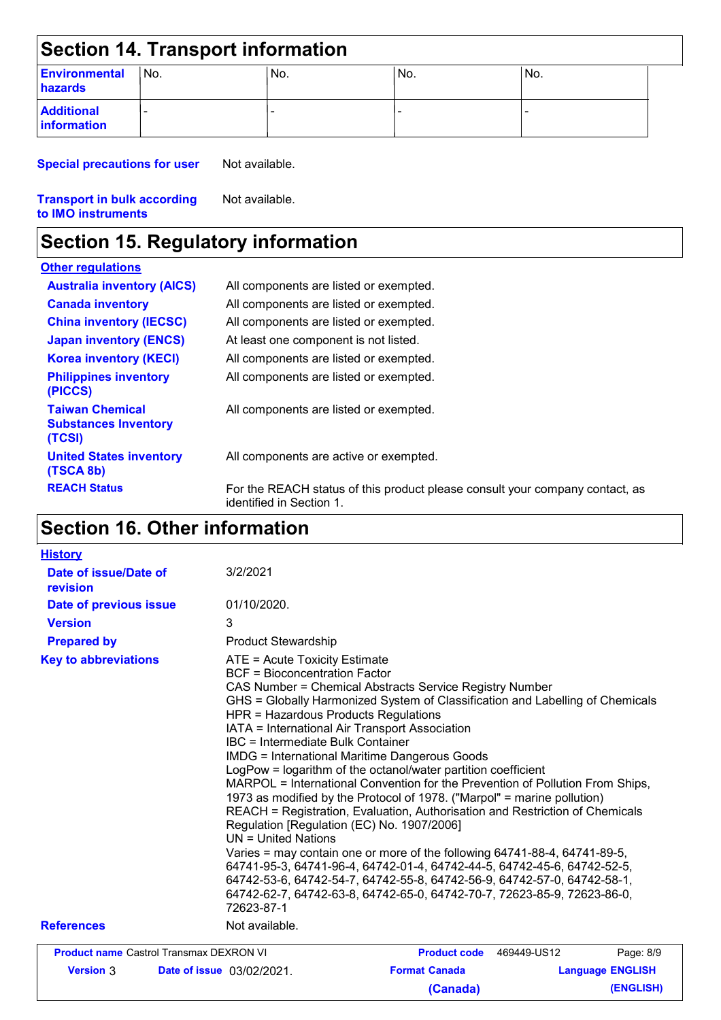| Section 14. Transport information        |     |     |     |     |  |
|------------------------------------------|-----|-----|-----|-----|--|
| <b>Environmental</b><br>hazards          | No. | No. | No. | No. |  |
| <b>Additional</b><br><b>linformation</b> |     |     |     |     |  |

**Special precautions for user** Not available.

#### **Transport in bulk according to IMO instruments** Not available.

### **Section 15. Regulatory information**

#### **Other regulations**

| <u> AMERICAN CHARLES AND </u>                                   |                                                                                                          |
|-----------------------------------------------------------------|----------------------------------------------------------------------------------------------------------|
| <b>Australia inventory (AICS)</b>                               | All components are listed or exempted.                                                                   |
| <b>Canada inventory</b>                                         | All components are listed or exempted.                                                                   |
| <b>China inventory (IECSC)</b>                                  | All components are listed or exempted.                                                                   |
| <b>Japan inventory (ENCS)</b>                                   | At least one component is not listed.                                                                    |
| <b>Korea inventory (KECI)</b>                                   | All components are listed or exempted.                                                                   |
| <b>Philippines inventory</b><br>(PICCS)                         | All components are listed or exempted.                                                                   |
| <b>Taiwan Chemical</b><br><b>Substances Inventory</b><br>(TCSI) | All components are listed or exempted.                                                                   |
| <b>United States inventory</b><br>(TSCA 8b)                     | All components are active or exempted.                                                                   |
| <b>REACH Status</b>                                             | For the REACH status of this product please consult your company contact, as<br>identified in Section 1. |

## **Section 16. Other information**

| <b>History</b>                                 |                                                                                                                                                                                                  |                                                                                                                                                                                                                                                                                                                                                                                                                                                                                                                                                                                                                                                                                                                                                                                                                                                                                                                             |                         |
|------------------------------------------------|--------------------------------------------------------------------------------------------------------------------------------------------------------------------------------------------------|-----------------------------------------------------------------------------------------------------------------------------------------------------------------------------------------------------------------------------------------------------------------------------------------------------------------------------------------------------------------------------------------------------------------------------------------------------------------------------------------------------------------------------------------------------------------------------------------------------------------------------------------------------------------------------------------------------------------------------------------------------------------------------------------------------------------------------------------------------------------------------------------------------------------------------|-------------------------|
| Date of issue/Date of<br>revision              | 3/2/2021                                                                                                                                                                                         |                                                                                                                                                                                                                                                                                                                                                                                                                                                                                                                                                                                                                                                                                                                                                                                                                                                                                                                             |                         |
| Date of previous issue                         | 01/10/2020.                                                                                                                                                                                      |                                                                                                                                                                                                                                                                                                                                                                                                                                                                                                                                                                                                                                                                                                                                                                                                                                                                                                                             |                         |
| <b>Version</b>                                 | 3                                                                                                                                                                                                |                                                                                                                                                                                                                                                                                                                                                                                                                                                                                                                                                                                                                                                                                                                                                                                                                                                                                                                             |                         |
| <b>Prepared by</b>                             | <b>Product Stewardship</b>                                                                                                                                                                       |                                                                                                                                                                                                                                                                                                                                                                                                                                                                                                                                                                                                                                                                                                                                                                                                                                                                                                                             |                         |
| <b>Key to abbreviations</b>                    | ATE = Acute Toxicity Estimate<br><b>BCF = Bioconcentration Factor</b><br>HPR = Hazardous Products Regulations<br><b>IBC</b> = Intermediate Bulk Container<br>$UN = United Nations$<br>72623-87-1 | CAS Number = Chemical Abstracts Service Registry Number<br>GHS = Globally Harmonized System of Classification and Labelling of Chemicals<br>IATA = International Air Transport Association<br><b>IMDG = International Maritime Dangerous Goods</b><br>LogPow = logarithm of the octanol/water partition coefficient<br>MARPOL = International Convention for the Prevention of Pollution From Ships,<br>1973 as modified by the Protocol of 1978. ("Marpol" = marine pollution)<br>REACH = Registration, Evaluation, Authorisation and Restriction of Chemicals<br>Regulation [Regulation (EC) No. 1907/2006]<br>Varies = may contain one or more of the following 64741-88-4, 64741-89-5,<br>64741-95-3, 64741-96-4, 64742-01-4, 64742-44-5, 64742-45-6, 64742-52-5,<br>64742-53-6, 64742-54-7, 64742-55-8, 64742-56-9, 64742-57-0, 64742-58-1,<br>64742-62-7, 64742-63-8, 64742-65-0, 64742-70-7, 72623-85-9, 72623-86-0, |                         |
| <b>References</b>                              | Not available.                                                                                                                                                                                   |                                                                                                                                                                                                                                                                                                                                                                                                                                                                                                                                                                                                                                                                                                                                                                                                                                                                                                                             |                         |
| <b>Product name Castrol Transmax DEXRON VI</b> |                                                                                                                                                                                                  | Product code 469449-US12                                                                                                                                                                                                                                                                                                                                                                                                                                                                                                                                                                                                                                                                                                                                                                                                                                                                                                    | Page: 8/9               |
| <b>Version 3</b>                               | <b>Date of issue</b> 03/02/2021.                                                                                                                                                                 | <b>Format Canada</b>                                                                                                                                                                                                                                                                                                                                                                                                                                                                                                                                                                                                                                                                                                                                                                                                                                                                                                        | <b>Language ENGLISH</b> |
|                                                |                                                                                                                                                                                                  | (Canada)                                                                                                                                                                                                                                                                                                                                                                                                                                                                                                                                                                                                                                                                                                                                                                                                                                                                                                                    | (ENGLISH)               |